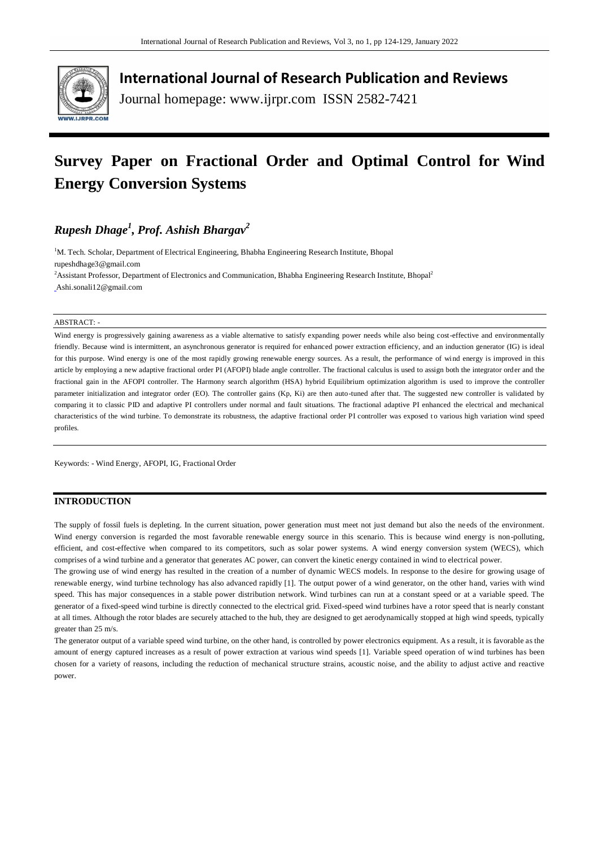

**International Journal of Research Publication and Reviews**

Journal homepage: www.ijrpr.com ISSN 2582-7421

# **Survey Paper on Fractional Order and Optimal Control for Wind Energy Conversion Systems**

## *Rupesh Dhage<sup>1</sup> , Prof. Ashish Bhargav<sup>2</sup>*

<sup>1</sup>M. Tech. Scholar, Department of Electrical Engineering, Bhabha Engineering Research Institute, Bhopal rupeshdhage3@gmail.com

<sup>2</sup>Assistant Professor, Department of Electronics and Communication, Bhabha Engineering Research Institute, Bhopal<sup>2</sup> [Ashi.sonali12@gmail.com](mailto:)

#### ABSTRACT: -

Wind energy is progressively gaining awareness as a viable alternative to satisfy expanding power needs while also being cost-effective and environmentally friendly. Because wind is intermittent, an asynchronous generator is required for enhanced power extraction efficiency, and an induction generator (IG) is ideal for this purpose. Wind energy is one of the most rapidly growing renewable energy sources. As a result, the performance of wi nd energy is improved in this article by employing a new adaptive fractional order PI (AFOPI) blade angle controller. The fractional calculus is used to assign both the integrator order and the fractional gain in the AFOPI controller. The Harmony search algorithm (HSA) hybrid Equilibrium optimization algorithm is used to improve the controller parameter initialization and integrator order (EO). The controller gains (Kp, Ki) are then auto-tuned after that. The suggested new controller is validated by comparing it to classic PID and adaptive PI controllers under normal and fault situations. The fractional adaptive PI enhanced the electrical and mechanical characteristics of the wind turbine. To demonstrate its robustness, the adaptive fractional order PI controller was exposed to various high variation wind speed profiles.

Keywords: - Wind Energy, AFOPI, IG, Fractional Order

#### **INTRODUCTION**

The supply of fossil fuels is depleting. In the current situation, power generation must meet not just demand but also the needs of the environment. Wind energy conversion is regarded the most favorable renewable energy source in this scenario. This is because wind energy is non-polluting, efficient, and cost-effective when compared to its competitors, such as solar power systems. A wind energy conversion system (WECS), which comprises of a wind turbine and a generator that generates AC power, can convert the kinetic energy contained in wind to electrical power.

The growing use of wind energy has resulted in the creation of a number of dynamic WECS models. In response to the desire for growing usage of renewable energy, wind turbine technology has also advanced rapidly [1]. The output power of a wind generator, on the other hand, varies with wind speed. This has major consequences in a stable power distribution network. Wind turbines can run at a constant speed or at a variable speed. The generator of a fixed-speed wind turbine is directly connected to the electrical grid. Fixed-speed wind turbines have a rotor speed that is nearly constant at all times. Although the rotor blades are securely attached to the hub, they are designed to get aerodynamically stopped at high wind speeds, typically greater than 25 m/s.

The generator output of a variable speed wind turbine, on the other hand, is controlled by power electronics equipment. As a result, it is favorable as the amount of energy captured increases as a result of power extraction at various wind speeds [1]. Variable speed operation of wind turbines has been chosen for a variety of reasons, including the reduction of mechanical structure strains, acoustic noise, and the ability to adjust active and reactive power.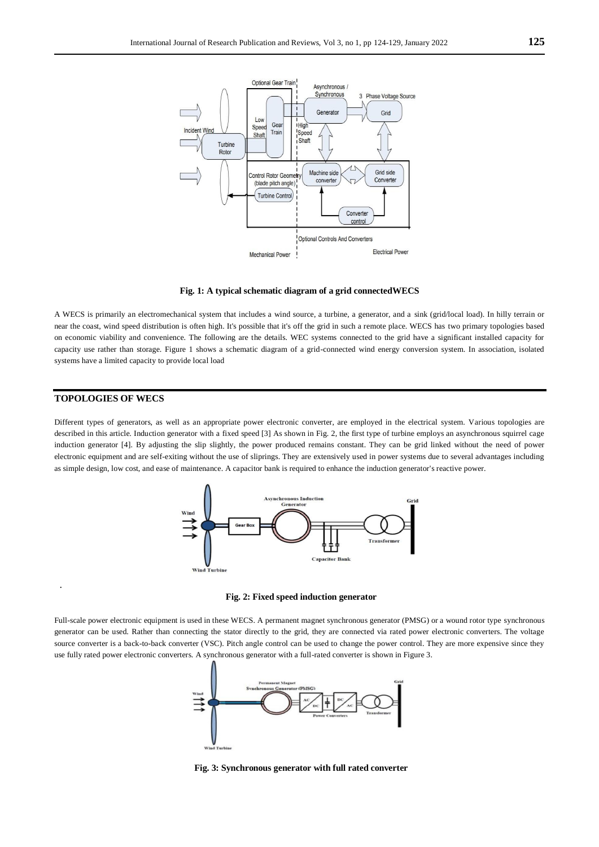

**Fig. 1: A typical schematic diagram of a grid connectedWECS**

A WECS is primarily an electromechanical system that includes a wind source, a turbine, a generator, and a sink (grid/local load). In hilly terrain or near the coast, wind speed distribution is often high. It's possible that it's off the grid in such a remote place. WECS has two primary topologies based on economic viability and convenience. The following are the details. WEC systems connected to the grid have a significant installed capacity for capacity use rather than storage. Figure 1 shows a schematic diagram of a grid-connected wind energy conversion system. In association, isolated systems have a limited capacity to provide local load

#### **TOPOLOGIES OF WECS**

.

Different types of generators, as well as an appropriate power electronic converter, are employed in the electrical system. Various topologies are described in this article. Induction generator with a fixed speed [3] As shown in Fig. 2, the first type of turbine employs an asynchronous squirrel cage induction generator [4]. By adjusting the slip slightly, the power produced remains constant. They can be grid linked without the need of power electronic equipment and are self-exiting without the use of sliprings. They are extensively used in power systems due to several advantages including as simple design, low cost, and ease of maintenance. A capacitor bank is required to enhance the induction generator's reactive power.



**Fig. 2: Fixed speed induction generator**

Full-scale power electronic equipment is used in these WECS. A permanent magnet synchronous generator (PMSG) or a wound rotor type synchronous generator can be used. Rather than connecting the stator directly to the grid, they are connected via rated power electronic converters. The voltage source converter is a back-to-back converter (VSC). Pitch angle control can be used to change the power control. They are more expensive since they use fully rated power electronic converters. A synchronous generator with a full-rated converter is shown in Figure 3.



**Fig. 3: Synchronous generator with full rated converter**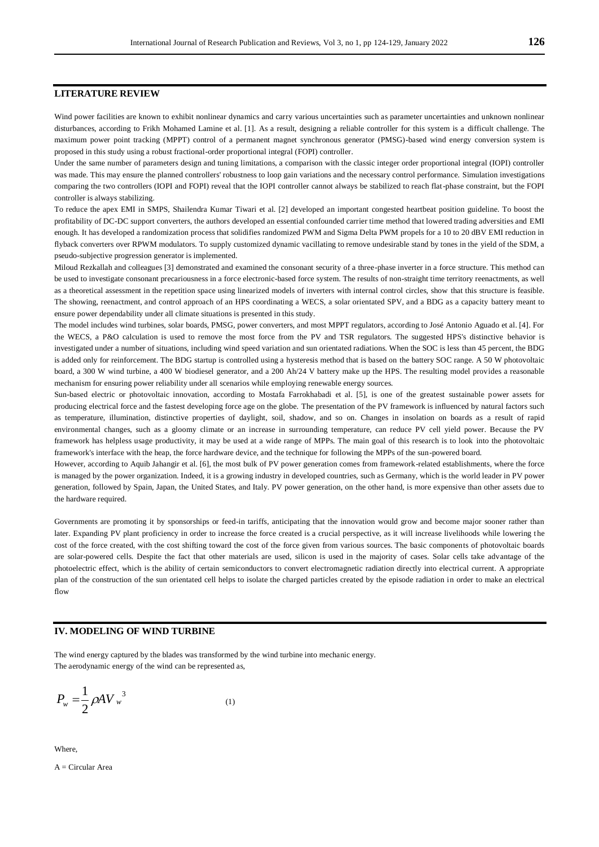#### **LITERATURE REVIEW**

Wind power facilities are known to exhibit nonlinear dynamics and carry various uncertainties such as parameter uncertainties and unknown nonlinear disturbances, according to Frikh Mohamed Lamine et al. [1]. As a result, designing a reliable controller for this system is a difficult challenge. The maximum power point tracking (MPPT) control of a permanent magnet synchronous generator (PMSG)-based wind energy conversion system is proposed in this study using a robust fractional-order proportional integral (FOPI) controller.

Under the same number of parameters design and tuning limitations, a comparison with the classic integer order proportional integral (IOPI) controller was made. This may ensure the planned controllers' robustness to loop gain variations and the necessary control performance. Simulation investigations comparing the two controllers (IOPI and FOPI) reveal that the IOPI controller cannot always be stabilized to reach flat-phase constraint, but the FOPI controller is always stabilizing.

To reduce the apex EMI in SMPS, Shailendra Kumar Tiwari et al. [2] developed an important congested heartbeat position guideline. To boost the profitability of DC-DC support converters, the authors developed an essential confounded carrier time method that lowered trading adversities and EMI enough. It has developed a randomization process that solidifies randomized PWM and Sigma Delta PWM propels for a 10 to 20 dBV EMI reduction in flyback converters over RPWM modulators. To supply customized dynamic vacillating to remove undesirable stand by tones in the yield of the SDM, a pseudo-subjective progression generator is implemented.

Miloud Rezkallah and colleagues [3] demonstrated and examined the consonant security of a three-phase inverter in a force structure. This method can be used to investigate consonant precariousness in a force electronic-based force system. The results of non-straight time territory reenactments, as well as a theoretical assessment in the repetition space using linearized models of inverters with internal control circles, show that this structure is feasible. The showing, reenactment, and control approach of an HPS coordinating a WECS, a solar orientated SPV, and a BDG as a capacity battery meant to ensure power dependability under all climate situations is presented in this study.

The model includes wind turbines, solar boards, PMSG, power converters, and most MPPT regulators, according to José Antonio Aguado et al. [4]. For the WECS, a P&O calculation is used to remove the most force from the PV and TSR regulators. The suggested HPS's distinctive behavior is investigated under a number of situations, including wind speed variation and sun orientated radiations. When the SOC is less than 45 percent, the BDG is added only for reinforcement. The BDG startup is controlled using a hysteresis method that is based on the battery SOC range. A 50 W photovoltaic board, a 300 W wind turbine, a 400 W biodiesel generator, and a 200 Ah/24 V battery make up the HPS. The resulting model provides a reasonable mechanism for ensuring power reliability under all scenarios while employing renewable energy sources.

Sun-based electric or photovoltaic innovation, according to Mostafa Farrokhabadi et al. [5], is one of the greatest sustainable power assets for producing electrical force and the fastest developing force age on the globe. The presentation of the PV framework is influenced by natural factors such as temperature, illumination, distinctive properties of daylight, soil, shadow, and so on. Changes in insolation on boards as a result of rapid environmental changes, such as a gloomy climate or an increase in surrounding temperature, can reduce PV cell yield power. Because the PV framework has helpless usage productivity, it may be used at a wide range of MPPs. The main goal of this research is to look into the photovoltaic framework's interface with the heap, the force hardware device, and the technique for following the MPPs of the sun-powered board.

However, according to Aquib Jahangir et al. [6], the most bulk of PV power generation comes from framework-related establishments, where the force is managed by the power organization. Indeed, it is a growing industry in developed countries, such as Germany, which is the world leader in PV power generation, followed by Spain, Japan, the United States, and Italy. PV power generation, on the other hand, is more expensive than other assets due to the hardware required.

Governments are promoting it by sponsorships or feed-in tariffs, anticipating that the innovation would grow and become major sooner rather than later. Expanding PV plant proficiency in order to increase the force created is a crucial perspective, as it will increase livelihoods while lowering the cost of the force created, with the cost shifting toward the cost of the force given from various sources. The basic components of photovoltaic boards are solar-powered cells. Despite the fact that other materials are used, silicon is used in the majority of cases. Solar cells take advantage of the photoelectric effect, which is the ability of certain semiconductors to convert electromagnetic radiation directly into electrical current. A appropriate plan of the construction of the sun orientated cell helps to isolate the charged particles created by the episode radiation in order to make an electrical flow

#### **IV. MODELING OF WIND TURBINE**

The wind energy captured by the blades was transformed by the wind turbine into mechanic energy. The aerodynamic energy of the wind can be represented as,

$$
P_w = \frac{1}{2} \rho A V_w^3 \tag{1}
$$

Where,

A = Circular Area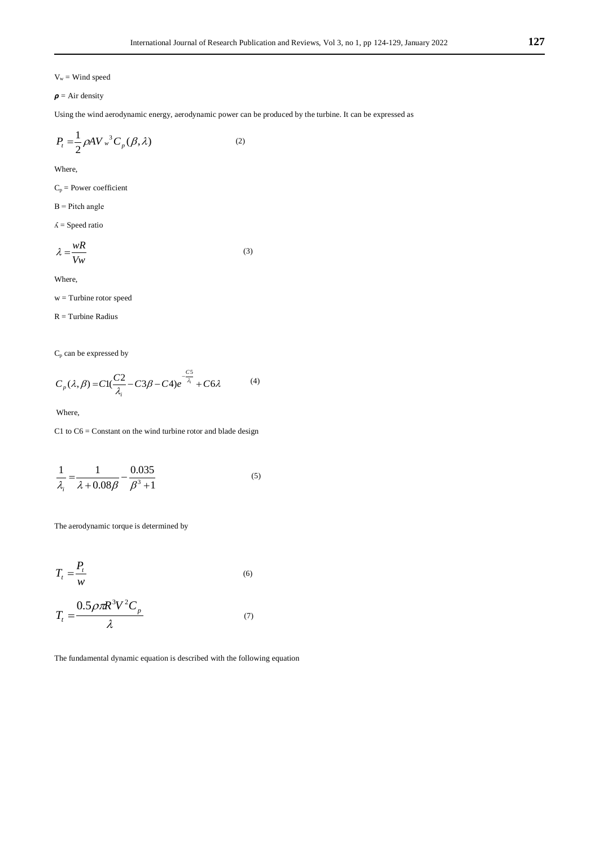$V_w =$  Wind speed

$$
\boldsymbol{\rho} = \text{Air density}
$$

Using the wind aerodynamic energy, aerodynamic power can be produced by the turbine. It can be expressed as

$$
P_t = \frac{1}{2} \rho A V_w^3 C_p(\beta, \lambda)
$$
 (2)

Where,

 $C_p$  = Power coefficient

 $B =$ Pitch angle

 $\Lambda$  = Speed ratio

$$
\lambda = \frac{wR}{Vw} \tag{3}
$$

Where,

w = Turbine rotor speed

 $R =$  Turbine Radius

 $\mathrm{C}_{\mathrm{p}}$  can be expressed by

$$
C_p(\lambda, \beta) = C1\left(\frac{C2}{\lambda_i} - C3\beta - C4\right)e^{-\frac{CS}{\lambda_i}} + C6\lambda\tag{4}
$$

Where,

 $C1$  to  $C6 =$  Constant on the wind turbine rotor and blade design

$$
\frac{1}{\lambda_i} = \frac{1}{\lambda + 0.08\beta} - \frac{0.035}{\beta^3 + 1}
$$
 (5)

The aerodynamic torque is determined by

$$
T_t = \frac{P_t}{w} \tag{6}
$$

$$
T_t = \frac{0.5\rho\pi R^3 V^2 C_p}{\lambda} \tag{7}
$$

The fundamental dynamic equation is described with the following equation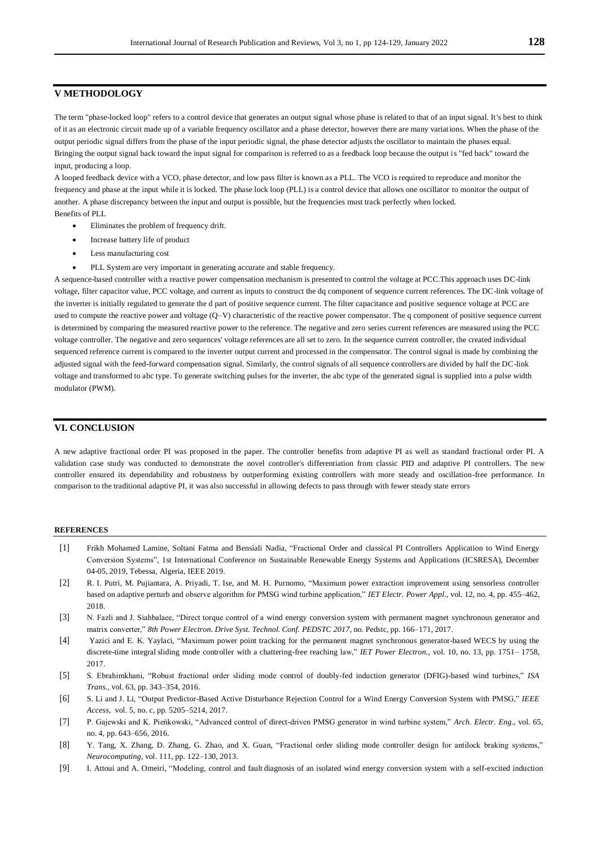#### **V METHODOLOGY**

The term "phase-locked loop" refers to a control device that generates an output signal whose phase is related to that of an input signal. It's best to think of it as an electronic circuit made up of a variable frequency oscillator and a phase detector, however there are many variations. When the phase of the output periodic signal differs from the phase of the input periodic signal, the phase detector adjusts the oscillator to maintain the phases equal. Bringing the output signal back toward the input signal for comparison is referred to as a feedback loop because the output is "fed back" toward the input, producing a loop.

A looped feedback device with a VCO, phase detector, and low pass filter is known as a PLL. The VCO is required to reproduce and monitor the frequency and phase at the input while it is locked. The phase lock loop (PLL) is a control device that allows one oscillator to monitor the output of another. A phase discrepancy between the input and output is possible, but the frequencies must track perfectly when locked. Benefits of PLL

- Eliminates the problem of frequency drift.
- Increase battery life of product
- Less manufacturing cost
- PLL System are very important in generating accurate and stable frequency.

A sequence-based controller with a reactive power compensation mechanism is presented to control the voltage at PCC.This approach uses DC-link voltage, filter capacitor value, PCC voltage, and current as inputs to construct the dq component of sequence current references. The DC-link voltage of the inverter is initially regulated to generate the d part of positive sequence current. The filter capacitance and positive sequence voltage at PCC are used to compute the reactive power and voltage (Q–V) characteristic of the reactive power compensator. The q component of positive sequence current is determined by comparing the measured reactive power to the reference. The negative and zero series current references are measured using the PCC voltage controller. The negative and zero sequences' voltage references are all set to zero. In the sequence current controller, the created individual sequenced reference current is compared to the inverter output current and processed in the compensator. The control signal is made by combining the adjusted signal with the feed-forward compensation signal. Similarly, the control signals of all sequence controllers are divided by half the DC-link voltage and transformed to abc type. To generate switching pulses for the inverter, the abc type of the generated signal is supplied into a pulse width modulator (PWM).

### **VI. CONCLUSION**

A new adaptive fractional order PI was proposed in the paper. The controller benefits from adaptive PI as well as standard fractional order PI. A validation case study was conducted to demonstrate the novel controller's differentiation from classic PID and adaptive PI controllers. The new controller ensured its dependability and robustness by outperforming existing controllers with more steady and oscillation-free performance. In comparison to the traditional adaptive PI, it was also successful in allowing defects to pass through with fewer steady state errors

#### **REFERENCES**

- [1] Frikh Mohamed Lamine, Soltani Fatma and Bensiali Nadia, "Fractional Order and classical PI Controllers Application to Wind Energy Conversion Systems", 1st International Conference on Sustainable Renewable Energy Systems and Applications (ICSRESA), December 04-05, 2019, Tebessa, Algeria, IEEE 2019.
- [2] R. I. Putri, M. Pujiantara, A. Priyadi, T. Ise, and M. H. Purnomo, "Maximum power extraction improvement using sensorless controller based on adaptive perturb and observe algorithm for PMSG wind turbine application," *IET Electr. Power Appl.*, vol. 12, no. 4, pp. 455–462, 2018.
- [3] N. Fazli and J. Siahbalaee, "Direct torque control of a wind energy conversion system with permanent magnet synchronous generator and matrix converter," *8th Power Electron. Drive Syst. Technol. Conf. PEDSTC 2017*, no. Pedstc, pp. 166–171, 2017.
- [4] Yazici and E. K. Yaylaci, "Maximum power point tracking for the permanent magnet synchronous generator-based WECS by using the discrete-time integral sliding mode controller with a chattering-free reaching law," *IET Power Electron.*, vol. 10, no. 13, pp. 1751– 1758, 2017.
- [5] S. Ebrahimkhani, "Robust fractional order sliding mode control of doubly-fed induction generator (DFIG)-based wind turbines," *ISA Trans.*, vol. 63, pp. 343–354, 2016.
- [6] S. Li and J. Li, "Output Predictor-Based Active Disturbance Rejection Control for a Wind Energy Conversion System with PMSG," *IEEE Access*, vol. 5, no. c, pp. 5205–5214, 2017.
- [7] P. Gajewski and K. Pieńkowski, "Advanced control of direct-driven PMSG generator in wind turbine system," *Arch. Electr. Eng.*, vol. 65, no. 4, pp. 643–656, 2016.
- [8] Y. Tang, X. Zhang, D. Zhang, G. Zhao, and X. Guan, "Fractional order sliding mode controller design for antilock braking systems," *Neurocomputing*, vol. 111, pp. 122–130, 2013.
- [9] I. Attoui and A. Omeiri, "Modeling, control and fault diagnosis of an isolated wind energy conversion system with a self-excited induction